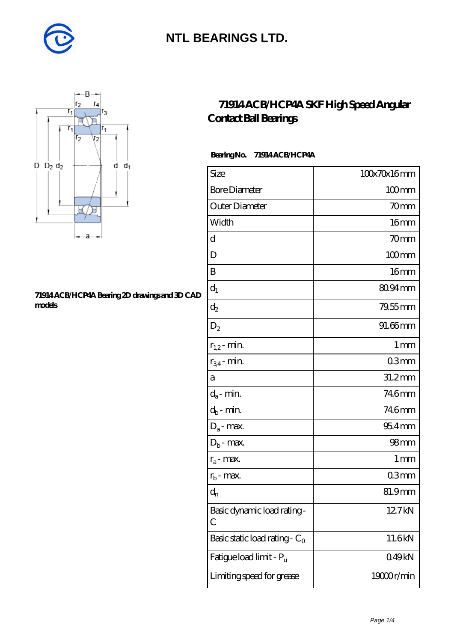



#### **[71914 ACB/HCP4A Bearing 2D drawings and 3D CAD](https://diabetesfriends.net/pic-590849.html) [models](https://diabetesfriends.net/pic-590849.html)**

### **[71914 ACB/HCP4A SKF High Speed Angular](https://diabetesfriends.net/skf-bearing/71914-acb-hcp4a.html) [Contact Ball Bearings](https://diabetesfriends.net/skf-bearing/71914-acb-hcp4a.html)**

#### **Bearing No. 71914 ACB/HCP4A**

| Size                             | 100x70x16mm         |
|----------------------------------|---------------------|
| <b>Bore Diameter</b>             | $100$ <sub>mm</sub> |
| Outer Diameter                   | 70mm                |
| Width                            | 16 <sub>mm</sub>    |
| d                                | $70$ mm             |
| D                                | $100$ mm            |
| B                                | 16mm                |
| $d_1$                            | 80.94 mm            |
| $\mathrm{d}_2$                   | $79.55$ mm          |
| $D_2$                            | 91.66mm             |
| $r_{1,2}$ - min.                 | 1 <sub>mm</sub>     |
| $r_{34}$ - min.                  | 03mm                |
| а                                | $31.2$ mm           |
| $d_a$ - min.                     | 746mm               |
| $d_b$ - min.                     | 746mm               |
| $D_a$ - max.                     | $954$ mm            |
| $D_b$ - max.                     | 98 <sub>mm</sub>    |
| $r_a$ - max.                     | 1 <sub>mm</sub>     |
| $r_{\rm b}$ - max.               | 03mm                |
| $\mathrm{d}_{\mathrm{n}}$        | 81.9mm              |
| Basic dynamic load rating-<br>С  | 12.7kN              |
| Basic static load rating - $C_0$ | 11.6kN              |
| Fatigue load limit - Pu          | 049kN               |
| Limiting speed for grease        | 19000r/min          |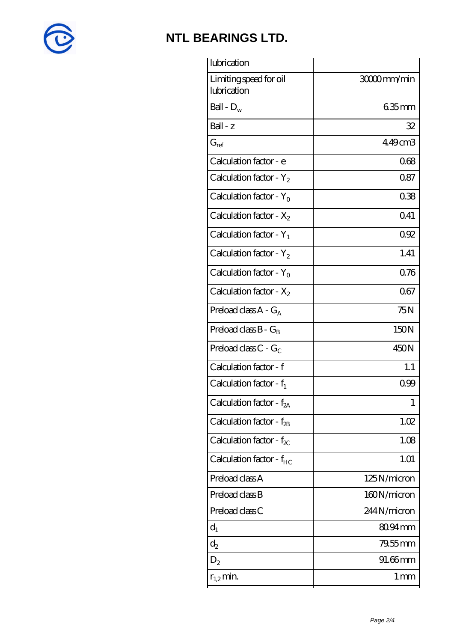

| lubrication                            |                 |
|----------------------------------------|-----------------|
| Limiting speed for oil<br>lubrication  | 3000mm/min      |
| Ball - $D_w$                           | $635$ mm        |
| Ball - z                               | 32              |
| $G_{\mathrm{ref}}$                     | 449cm3          |
| Calculation factor - e                 | 068             |
| Calculation factor - $Y_2$             | 0.87            |
| Calculation factor - $Y_0$             | 038             |
| Calculation factor - $X_2$             | 0.41            |
| Calculation factor - $Y_1$             | 092             |
| Calculation factor - $Y_2$             | 1.41            |
| Calculation factor - $Y_0$             | 0.76            |
| Calculation factor - $X_2$             | 067             |
| Preload class $A - G_A$                | 75N             |
| Preload class $B - G_B$                | 150N            |
| Preload class $C$ - $G_C$              | 450N            |
| Calculation factor - f                 | 1.1             |
| Calculation factor - $f_1$             | 0.99            |
| Calculation factor - f <sub>2A</sub>   | 1               |
| Calculation factor - $f_{\mathcal{B}}$ | 1.02            |
| Calculation factor - $f_{\chi}$        | 1.08            |
| Calculation factor - $f_{HC}$          | 1.01            |
| Preload class A                        | 125N/micron     |
| Preload class B                        | 160N/micron     |
| Preload class C                        | 244N/micron     |
| $d_1$                                  | 80.94mm         |
| $d_2$                                  | 79.55 mm        |
| $D_{2}$                                | 91.66mm         |
| $r_{1,2}$ min.                         | 1 <sub>mm</sub> |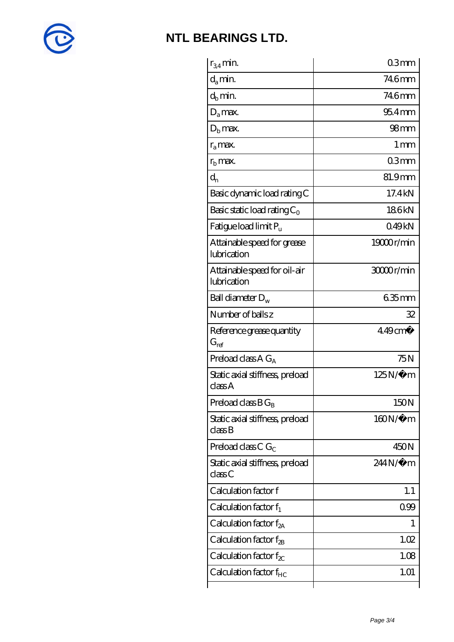

| $r_{34}$ min.                               | 03mm                  |
|---------------------------------------------|-----------------------|
| $d_a$ min.                                  | 746mm                 |
| $d_h$ min.                                  | 746mm                 |
| $D_a$ max.                                  | $954$ mm              |
| $Db$ max.                                   | 98 <sub>mm</sub>      |
| $r_a$ max.                                  | $1 \,\mathrm{mm}$     |
| $rb$ max.                                   | 03mm                  |
| $d_{n}$                                     | 81.9mm                |
| Basic dynamic load rating C                 | 17.4 kN               |
| Basic static load rating $C_0$              | 186kN                 |
| Fatigue load limit Pu                       | 049kN                 |
| Attainable speed for grease<br>lubrication  | 19000r/min            |
| Attainable speed for oil-air<br>lubrication | 3000r/min             |
| Ball diameter $D_w$                         | 635mm                 |
| Number of balls z                           | 32                    |
| Reference grease quantity<br>$G_{\rm ref}$  | $449$ cm <sup>3</sup> |
| Preload class A $G_A$                       | 75N                   |
| Static axial stiffness, preload<br>classA   | $125N/\mu$ m          |
| Preload class $BG_B$                        | 150N                  |
| Static axial stiffness, preload<br>classB   | $160N/\mu$ m          |
| Preload class C $G_C$                       | 450N                  |
| Static axial stiffness, preload<br>classC   | 244N/µ m              |
| Calculation factor f                        | 1.1                   |
| Calculation factor $f_1$                    | 0.99                  |
| Calculation factor $f_{2A}$                 | T                     |
| Calculation factor $f_{\rm 2B}$             | 1.02                  |
| Calculation factor $f_{\chi}$               | 1.08                  |
|                                             |                       |
| Calculation factor $f_{HC}$                 | 1.01                  |